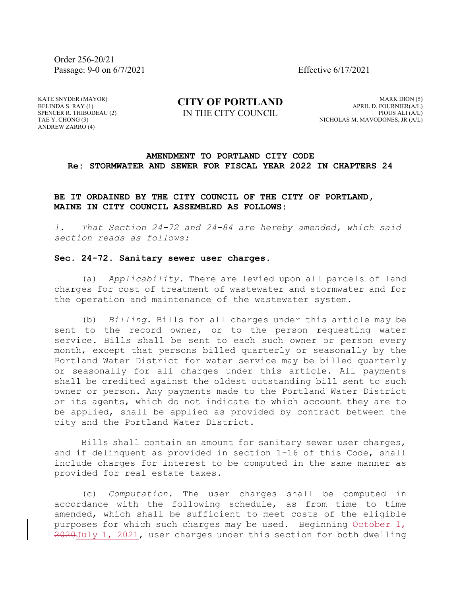Order 256-20/21 Passage: 9-0 on 6/7/2021 Effective 6/17/2021

KATE SNYDER (MAYOR) BELINDA S. RAY (1) SPENCER R. THIBODEAU (2) TAE Y. CHONG (3) ANDREW ZARRO (4)

**CITY OF PORTLAND** IN THE CITY COUNCIL

MARK DION (5) APRIL D. FOURNIER(A/L) PIOUS ALI (A/L) NICHOLAS M. MAVODONES, JR (A/L)

## **AMENDMENT TO PORTLAND CITY CODE Re: STORMWATER AND SEWER FOR FISCAL YEAR 2022 IN CHAPTERS 24**

**BE IT ORDAINED BY THE CITY COUNCIL OF THE CITY OF PORTLAND, MAINE IN CITY COUNCIL ASSEMBLED AS FOLLOWS:**

*1. That Section 24-72 and 24-84 are hereby amended, which said section reads as follows:*

## **Sec. 24-72. Sanitary sewer user charges.**

(a) *Applicability.* There are levied upon all parcels of land charges for cost of treatment of wastewater and stormwater and for the operation and maintenance of the wastewater system.

(b) *Billing.* Bills for all charges under this article may be sent to the record owner, or to the person requesting water service. Bills shall be sent to each such owner or person every month, except that persons billed quarterly or seasonally by the Portland Water District for water service may be billed quarterly or seasonally for all charges under this article. All payments shall be credited against the oldest outstanding bill sent to such owner or person. Any payments made to the Portland Water District or its agents, which do not indicate to which account they are to be applied, shall be applied as provided by contract between the city and the Portland Water District.

Bills shall contain an amount for sanitary sewer user charges, and if delinquent as provided in section 1-16 of this Code, shall include charges for interest to be computed in the same manner as provided for real estate taxes.

(c) *Computation.* The user charges shall be computed in accordance with the following schedule, as from time to time amended, which shall be sufficient to meet costs of the eligible purposes for which such charges may be used. Beginning  $\theta$ etober  $1$ , 2020July 1, 2021, user charges under this section for both dwelling